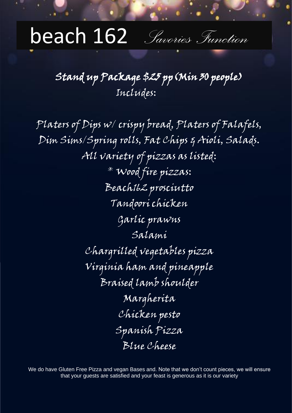# beach 162 *Savories Function*

# Stand up Package \$25 pp(Min 30 people) Includes:

Platers of Dips w/ crispy bread, Platers of Falafels, Dim Sims/Spring rolls, Fat Chips & Aioli, Salads. All variety of pizzas as listed: \* Wood fire pizzas: Beach162 prosciutto Tandoori chicken Garlic prawns Salami Chargrilled vegetables pizza Virginia ham and pineapple Braised lamb shoulder Margherita Chicken pesto Spanish Pizza Blue Cheese

We do have Gluten Free Pizza and vegan Bases and. Note that we don't count pieces, we will ensure that your guests are satisfied and your feast is generous as it is our variety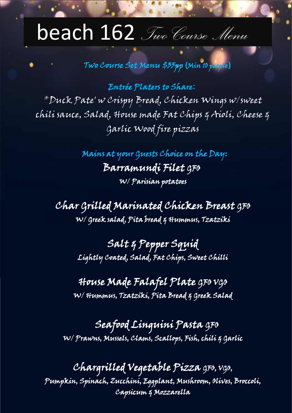# beach 162 *Two Course Menu*

# Two Course Set Menu \$35pp **(**Min 10 people**)**

 Entrée Platers to Share**:** \*Duck Pate′ w Crispy Bread, Chicken Wings w/sweet chili sauce, Salad, House made Fat Chips & Aioli, Cheese & Garlic Wood fire pizzas

> Mains at your Guests Choice on the Day: Barramundi Filet GFO W/ Parisian potatoes

Char Grilled Marinated Chicken Breast GFO W/ Greek salad, Pita bread & Hummus, Tzatziki

> Salt & Pepper Squid Lightly Coated, Salad, Fat Chips, Sweet Chilli

House Made Falafel Plate GFO VGO W/ Hummus, Tzatziki, Pita Bread & Greek Salad

 Seafood Linguini Pasta GFO W/ Prawns, Mussels, Clams, Scallops, Fish, chili & Garlic

Chargrilled Vegetable Pizza GFO, VGO, Pumpkin, Spinach, Zucchini, Eggplant, Mushroom, Olives, Broccoli, Capsicum & Mozzarella